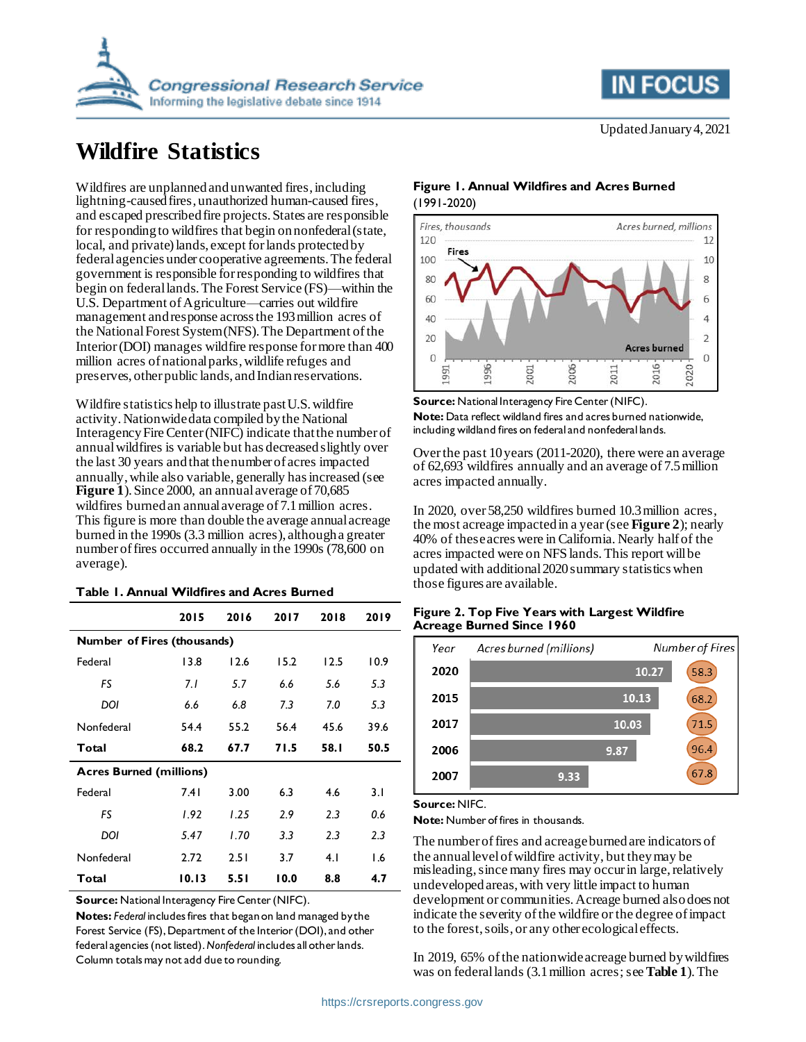



# **Wildfire Statistics**

Wildfires are unplanned and unwanted fires, including lightning-caused fires, unauthorized human-caused fires, and escaped prescribed fire projects. States are responsible for responding to wildfires that begin on nonfederal (state, local, and private) lands, except for lands protected by federal agencies under cooperative agreements. The federal government is responsible for responding to wildfires that begin on federal lands. The Forest Service (FS)—within the U.S. Department of Agriculture—carries out wildfire management and response across the 193 million acres of the National Forest System(NFS). The Department of the Interior (DOI) manages wildfire response for more than 400 million acres of national parks, wildlife refuges and preserves, other public lands, and Indian reservations.

Wildfire statistics help to illustrate past U.S. wildfire activity. Nationwide data compiled by the National Interagency Fire Center (NIFC) indicate that the number of annual wildfires is variable but has decreased slightly over the last 30 years andthat the number of acres impacted annually, while also variable, generally has increased (see **[Figure 1](#page-0-0)**). Since 2000, an annual average of 70,685 wildfires burned an annual average of 7.1 million acres. This figure is more than double the average annual acreage burned in the 1990s (3.3 million acres), although a greater number of fires occurred annually in the 1990s (78,600 on average).

## <span id="page-0-2"></span>**Table 1. Annual Wildfires and Acres Burned**

|                                | 2015  | 2016 | 2017 | 2018 | 2019 |  |  |  |
|--------------------------------|-------|------|------|------|------|--|--|--|
| Number of Fires (thousands)    |       |      |      |      |      |  |  |  |
| Federal                        | 13.8  | 12.6 | 15.2 | 12.5 | 10.9 |  |  |  |
| FS                             | 7.1   | 5.7  | 6.6  | 5.6  | 5.3  |  |  |  |
| DOI                            | 6.6   | 6.8  | 7.3  | 7.0  | 5.3  |  |  |  |
| Nonfederal                     | 54.4  | 55.2 | 56.4 | 45.6 | 39.6 |  |  |  |
| Total                          | 68.2  | 67.7 | 71.5 | 58.I | 50.5 |  |  |  |
| <b>Acres Burned (millions)</b> |       |      |      |      |      |  |  |  |
| Federal                        | 7.41  | 3.00 | 6.3  | 4.6  | 3.1  |  |  |  |
| FS                             | 1.92  | 1.25 | 2.9  | 2.3  | 0.6  |  |  |  |
| DOI                            | 5.47  | 1.70 | 3.3  | 2.3  | 2.3  |  |  |  |
| Nonfederal                     | 2.72  | 2.51 | 3.7  | 4.1  | 1.6  |  |  |  |
| Total                          | 10.13 | 5.51 | 10.0 | 8.8  | 4.7  |  |  |  |

**Source:** National Interagency Fire Center (NIFC).

**Notes:** *Federal* includes fires that began on land managed by the Forest Service (FS), Department of the Interior (DOI), and other federal agencies(not listed). *Nonfederal* includes all other lands. Column totals may not add due to rounding.

# <span id="page-0-0"></span>**Figure 1. Annual Wildfires and Acres Burned** (1991-2020)



**Source:** National Interagency Fire Center (NIFC). **Note:** Data reflect wildland fires and acres burned nationwide, including wildland fires on federal and nonfederal lands.

Over the past 10 years (2011-2020), there were an average of 62,693 wildfires annually and an average of 7.5million acres impacted annually.

In 2020, over 58,250 wildfires burned 10.3million acres, the most acreage impacted in a year(see **[Figure 2](#page-0-1)**); nearly 40% of these acres were in California. Nearly half of the acres impacted were on NFS lands. This report will be updated with additional 2020 summary statistics when those figures are available.



### <span id="page-0-1"></span>**Figure 2. Top Five Years with Largest Wildfire Acreage Burned Since 1960**

**Source:** NIFC.

**Note:** Number of fires in thousands.

The number of fires and acreage burned are indicators of the annual level of wildfire activity, but they may be misleading, since many fires may occur in large, relatively undeveloped areas, with very little impact to human development or communities. Acreage burned also does not indicate the severity of the wildfire or the degree of impact to the forest, soils, or any other ecological effects.

In 2019, 65% of the nationwide acreage burned by wildfires was on federal lands (3.1million acres;see **[Table 1](#page-0-2)**). The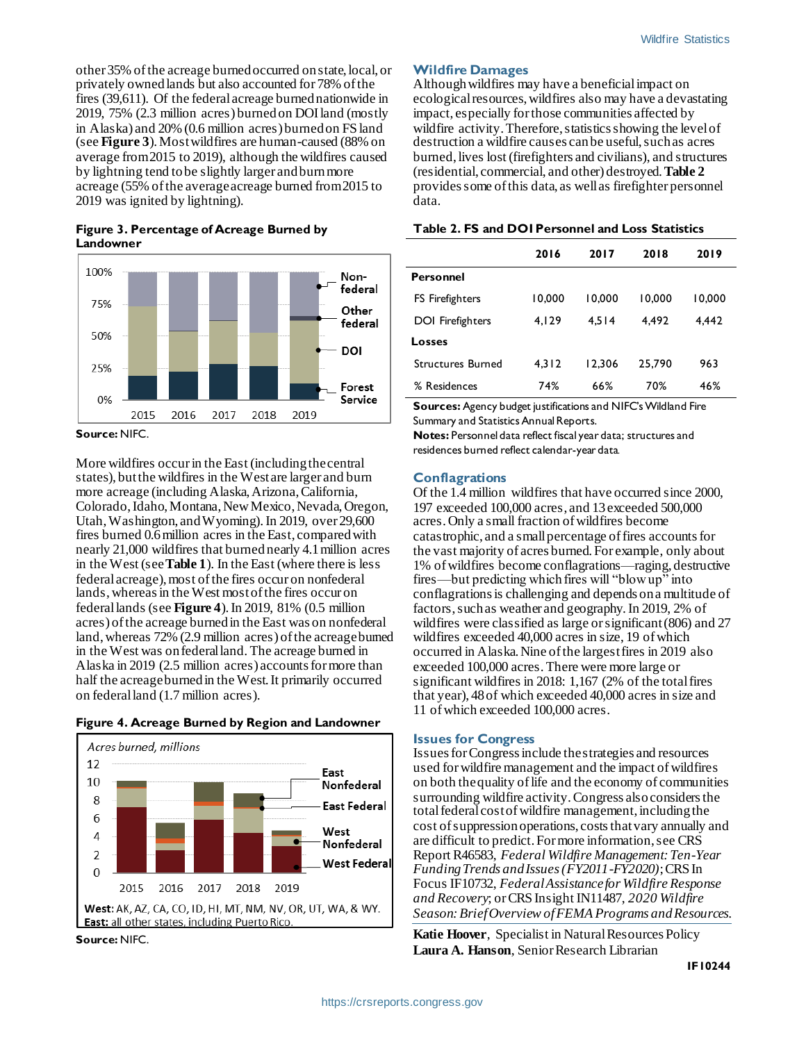other 35% of the acreage burned occurred on state, local, or privately owned lands but also accounted for 78% of the fires (39,611). Of the federal acreage burned nationwide in 2019, 75% (2.3 million acres) burned on DOI land (mostly in Alaska) and 20% (0.6 million acres) burned on FS land (see **[Figure 3](#page-1-0)**).Most wildfires are human-caused (88% on average from 2015 to 2019), although the wildfires caused by lightning tend to be slightly larger and burn more acreage (55% of the average acreage burned from 2015 to 2019 was ignited by lightning).

<span id="page-1-0"></span>



**Source:** NIFC.

More wildfires occur in the East (including the central states), but the wildfires in the West are larger and burn more acreage (including Alaska, Arizona, California, Colorado, Idaho, Montana, New Mexico, Nevada, Oregon, Utah, Washington, and Wyoming). In 2019, over 29,600 fires burned 0.6million acres in the East, compared with nearly 21,000 wildfires that burned nearly 4.1million acres in the West (see**[Table 1](#page-0-2)**). In the East (where there is less federal acreage), most of the fires occur on nonfederal lands, whereas in the West most of the fires occur on federal lands (see **[Figure 4](#page-1-1)**). In 2019, 81% (0.5 million acres) of the acreage burned in the East was on nonfederal land, whereas 72% (2.9 million acres) of the acreage burned in the West was on federal land. The acreage burned in Alaska in 2019 (2.5 million acres) accounts for more than half the acreage burned in the West. It primarily occurred on federal land (1.7 million acres).



<span id="page-1-1"></span>**Figure 4. Acreage Burned by Region and Landowner**

**Source:** NIFC.

#### **Wildfire Damages**

Althoughwildfires may have a beneficial impact on ecological resources, wildfires also may have a devastating impact, especially for those communities affected by wildfire activity. Therefore, statistics showing the level of destruction a wildfire causes can be useful, such as acres burned, lives lost (firefighters and civilians), and structures (residential, commercial, and other) destroyed.**[Table 2](#page-1-2)** provides some of this data, as well as firefighter personnel data.

<span id="page-1-2"></span>

| Table 2. FS and DOI Personnel and Loss Statistics |  |  |  |  |  |  |  |
|---------------------------------------------------|--|--|--|--|--|--|--|
|---------------------------------------------------|--|--|--|--|--|--|--|

|                         | 2016   | 2017   | 2018   | 2019   |
|-------------------------|--------|--------|--------|--------|
| Personnel               |        |        |        |        |
| FS Firefighters         | 10.000 | 10.000 | 10.000 | 10.000 |
| <b>DOI</b> Firefighters | 4,129  | 4.514  | 4.492  | 4.442  |
| Losses                  |        |        |        |        |
| Structures Burned       | 4.312  | 12.306 | 25.790 | 963    |
| % Residences            | 74%    | 66%    | 70%    | 46%    |

**Sources:** Agency budget justifications and NIFC's Wildland Fire Summary and Statistics Annual Reports.

**Notes:** Personnel data reflect fiscal year data; structures and residences burned reflect calendar-year data.

#### **Conflagrations**

Of the 1.4 million wildfires that have occurred since 2000, 197 exceeded 100,000 acres, and 13exceeded 500,000 acres. Only a small fraction of wildfires become catastrophic, and a small percentage of fires accounts for the vast majority of acres burned. For example, only about 1% of wildfires become conflagrations—raging, destructive fires—but predicting which fires will "blow up" into conflagrations is challenging and depends on a multitude of factors, such as weather and geography. In 2019, 2% of wildfires were classified as large or significant (806) and 27 wildfires exceeded 40,000 acres in size, 19 of which occurred in Alaska. Nine of the largest fires in 2019 also exceeded 100,000 acres. There were more large or significant wildfires in 2018: 1,167 (2% of the total fires that year), 48 of which exceeded 40,000 acres in size and 11 ofwhich exceeded 100,000 acres.

#### **Issues for Congress**

Issues for Congress include the strategies and resources used for wildfire management and the impact of wildfires on both the quality of life and the economy of communities surrounding wildfire activity. Congress also considers the total federal cost of wildfire management, including the cost of suppression operations, costs thatvary annually and are difficult to predict.For more information, see CRS Report R46583, *Federal Wildfire Management: Ten-Year Funding Trends and Issues (FY2011-FY2020)*;CRS In Focus IF10732, *Federal Assistance for Wildfire Response and Recovery*; or CRS Insight IN11487, *2020 Wildfire Season: Brief Overview of FEMA Programs and Resources*.

**Katie Hoover**, Specialist in Natural Resources Policy **Laura A. Hanson**, Senior Research Librarian